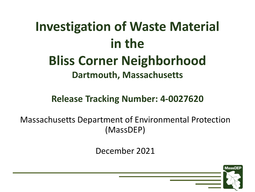## **Investigation of Waste Material in the**

# **Bliss Corner Neighborhood**

#### **Dartmouth, Massachusetts**

#### **Release Tracking Number: 4-0027620**

Massachusetts Department of Environmental Protection (MassDEP)

December 2021

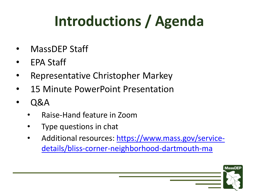# **Introductions / Agenda**

- MassDEP Staff
- EPA Staff
- Representative Christopher Markey
- 15 Minute PowerPoint Presentation
- Q&A
	- Raise-Hand feature in Zoom
	- Type questions in chat
	- [Additional resources: https://www.mass.gov/service](https://www.mass.gov/service-details/bliss-corner-neighborhood-dartmouth-ma)details/bliss-corner-neighborhood-dartmouth-ma

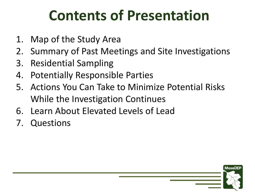### **Contents of Presentation**

- 1. Map of the Study Area
- 2. Summary of Past Meetings and Site Investigations
- 3. Residential Sampling
- 4. Potentially Responsible Parties
- 5. Actions You Can Take to Minimize Potential Risks While the Investigation Continues
- 6. Learn About Elevated Levels of Lead
- 7. Questions

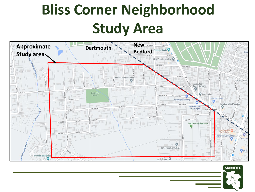# **Bliss Corner Neighborhood Study Area**



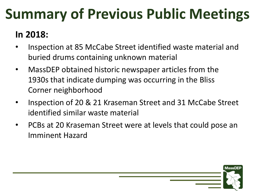### **Summary of Previous Public Meetings**

#### **In 2018:**

- Inspection at 85 McCabe Street identified waste material and buried drums containing unknown material
- MassDEP obtained historic newspaper articles from the 1930s that indicate dumping was occurring in the Bliss Corner neighborhood
- Inspection of 20 & 21 Kraseman Street and 31 McCabe Street identified similar waste material
- PCBs at 20 Kraseman Street were at levels that could pose an Imminent Hazard

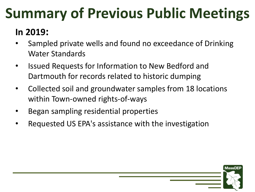### **Summary of Previous Public Meetings**

### **In 2019:**

- Sampled private wells and found no exceedance of Drinking Water Standards
- Issued Requests for Information to New Bedford and Dartmouth for records related to historic dumping
- Collected soil and groundwater samples from 18 locations within Town-owned rights-of-ways

**MassDE** 

- Began sampling residential properties
- Requested US EPA's assistance with the investigation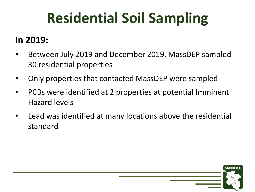# **Residential Soil Sampling**

#### **In 2019:**

- Between July 2019 and December 2019, MassDEP sampled 30 residential properties
- Only properties that contacted MassDEP were sampled
- PCBs were identified at 2 properties at potential Imminent Hazard levels
- Lead was identified at many locations above the residential standard

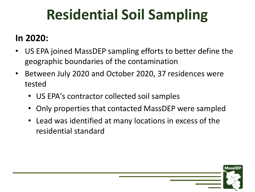## **Residential Soil Sampling**

#### **In 2020:**

- US EPA joined MassDEP sampling efforts to better define the geographic boundaries of the contamination
- Between July 2020 and October 2020, 37 residences were tested
	- US EPA's contractor collected soil samples
	- Only properties that contacted MassDEP were sampled
	- Lead was identified at many locations in excess of the residential standard

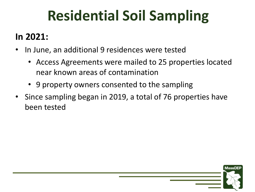## **Residential Soil Sampling**

#### **In 2021:**

- In June, an additional 9 residences were tested
	- Access Agreements were mailed to 25 properties located near known areas of contamination
	- 9 property owners consented to the sampling
- Since sampling began in 2019, a total of 76 properties have been tested

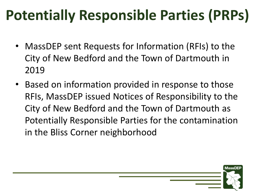# **Potentially Responsible Parties (PRPs)**

- MassDEP sent Requests for Information (RFIs) to the City of New Bedford and the Town of Dartmouth in 2019
- Based on information provided in response to those RFIs, MassDEP issued Notices of Responsibility to the City of New Bedford and the Town of Dartmouth as Potentially Responsible Parties for the contamination in the Bliss Corner neighborhood

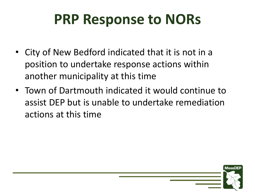### **PRP Response to NORs**

- City of New Bedford indicated that it is not in a position to undertake response actions within another municipality at this time
- Town of Dartmouth indicated it would continue to assist DEP but is unable to undertake remediation actions at this time

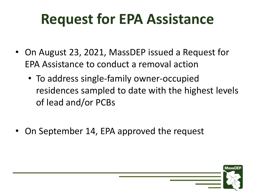### **Request for EPA Assistance**

- On August 23, 2021, MassDEP issued a Request for EPA Assistance to conduct a removal action
	- To address single-family owner-occupied residences sampled to date with the highest levels of lead and/or PCBs

**MassDE** 

• On September 14, EPA approved the request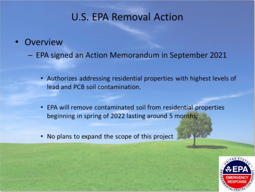#### **U.S. EPA Removal Action**

#### Overview

- EPA signed an Action Memorandum in September 2021

- Authorizes addressing residential properties with highest levels of lead and PCB soil contamination.
- EPA will remove contaminated soil from residential properties beginning in spring of 2022 lasting around 5 months;
- No plans to expand the scope of this project

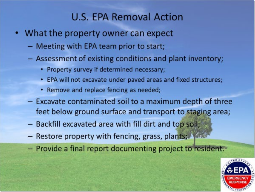#### **U.S. EPA Removal Action**

- What the property owner can expect
	- Meeting with EPA team prior to start;
	- Assessment of existing conditions and plant inventory;
		- Property survey if determined necessary;
		- EPA will not excavate under paved areas and fixed structures;
		- Remove and replace fencing as needed;
	- Excavate contaminated soil to a maximum depth of three feet below ground surface and transport to staging area;
	- Backfill excavated area with fill dirt and top soil;
	- Restore property with fencing, grass, plants;
	- Provide a final report documenting project to resident.

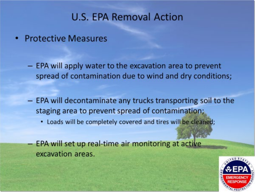#### **U.S. EPA Removal Action**

- Protective Measures
	- EPA will apply water to the excavation area to prevent spread of contamination due to wind and dry conditions;
	- EPA will decontaminate any trucks transporting soil to the staging area to prevent spread of contamination;
		- . Loads will be completely covered and tires will be cleaned;
	- EPA will set up real-time air monitoring at active excavation areas.

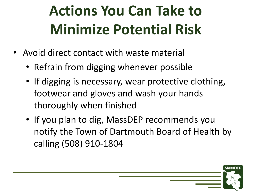# **Actions You Can Take to Minimize Potential Risk**

- Avoid direct contact with waste material
	- Refrain from digging whenever possible
	- If digging is necessary, wear protective clothing, footwear and gloves and wash your hands thoroughly when finished
	- If you plan to dig, MassDEP recommends you notify the Town of Dartmouth Board of Health by calling (508) 910-1804

**MassDE**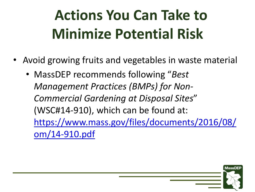# **Actions You Can Take to Minimize Potential Risk**

- Avoid growing fruits and vegetables in waste material
	- MassDEP recommends following "*Best Management Practices (BMPs) for Non-Commercial Gardening at Disposal Sites*" (WSC#14-910), which can be found at: [https://www.mass.gov/files/documents/2016/08/](https://www.mass.gov/files/documents/2016/08/om/14-910.pdf) om/14-910.pdf

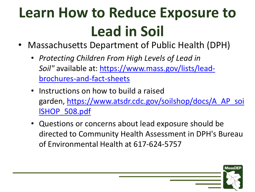# **Learn How to Reduce Exposure to Lead in Soil**

- Massachusetts Department of Public Health (DPH)
	- *Protecting Children From High Levels of Lead in Soil"* [available at: https://www.mass.gov/lists/lead](https://www.mass.gov/lists/lead-brochures-and-fact-sheets)brochures-and-fact-sheets
	- Instructions on how to build a raised garden, [https://www.atsdr.cdc.gov/soilshop/docs/A\\_AP\\_soi](https://www.atsdr.cdc.gov/soilshop/docs/A_AP_soilSHOP_508.pdf) lSHOP\_508.pdf
	- Questions or concerns about lead exposure should be directed to Community Health Assessment in DPH's Bureau of Environmental Health at 617-624-5757

**MassDEF**